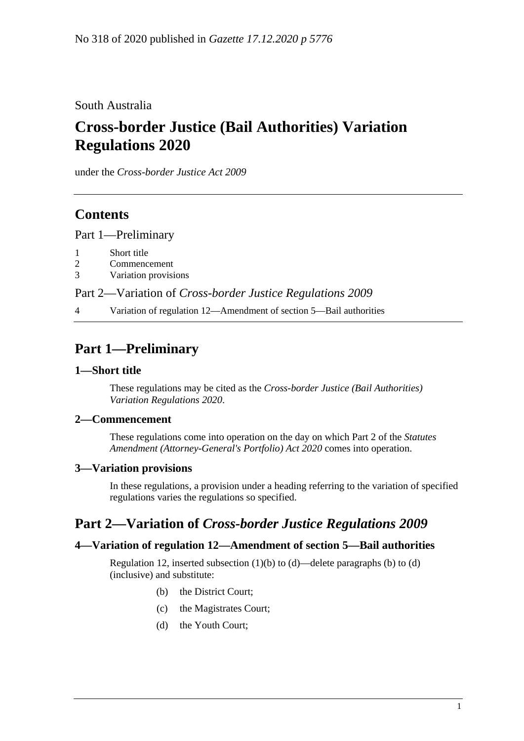South Australia

# **Cross-border Justice (Bail Authorities) Variation Regulations 2020**

under the *Cross-border Justice Act 2009*

## **Contents**

Part [1—Preliminary](#page-0-0)

- 1 [Short title](#page-0-1)
- 2 [Commencement](#page-0-2)
- 3 [Variation provisions](#page-0-3)

Part 2—Variation of *[Cross-border Justice Regulations](#page-0-4) 2009*

4 [Variation of regulation 12—Amendment of section 5—Bail authorities](#page-0-5)

# <span id="page-0-0"></span>**Part 1—Preliminary**

#### <span id="page-0-1"></span>**1—Short title**

These regulations may be cited as the *Cross-border Justice (Bail Authorities) Variation Regulations 2020*.

#### <span id="page-0-2"></span>**2—Commencement**

These regulations come into operation on the day on which Part 2 of the *[Statutes](http://www.legislation.sa.gov.au/index.aspx?action=legref&type=act&legtitle=Statutes%20Amendment%20(Attorney-Generals%20Portfolio)%20Act%202020)  [Amendment \(Attorney-General's Portfolio\) Act 2020](http://www.legislation.sa.gov.au/index.aspx?action=legref&type=act&legtitle=Statutes%20Amendment%20(Attorney-Generals%20Portfolio)%20Act%202020)* comes into operation.

### <span id="page-0-3"></span>**3—Variation provisions**

In these regulations, a provision under a heading referring to the variation of specified regulations varies the regulations so specified.

### <span id="page-0-4"></span>**Part 2—Variation of** *Cross-border Justice Regulations 2009*

#### <span id="page-0-5"></span>**4—Variation of regulation 12—Amendment of section 5—Bail authorities**

Regulation 12, inserted subsection  $(1)(b)$  to  $(d)$ —delete paragraphs  $(b)$  to  $(d)$ (inclusive) and substitute:

- (b) the District Court;
- (c) the Magistrates Court;
- (d) the Youth Court;